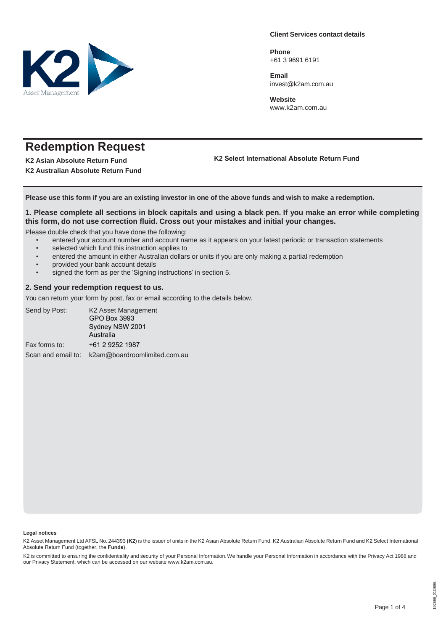

**Client Services contact details**

**Phone** +61 3 9691 6191

**Email** [invest@k2am.com.au](mailto:invest@k2am.com.au)

**Website** [www.k2am.com](http://www.k2am.com/).au

# **Redemption Request**

**K2 Asian Absolute Return Fund K2 Australian Absolute Return Fund**  **K2 Select International Absolute Return Fund**

**Please use this form if you are an existing investor in one of the above funds and wish to make a redemption.**

### 1. Please complete all sections in block capitals and using a black pen. If you make an error while completing **this form, do not use correction fluid. Cross out your mistakes and initial your changes.**

Please double check that you have done the following:

- entered your account number and account name as it appears on your latest periodic or transaction statements
- selected which fund this instruction applies to
- entered the amount in either Australian dollars or units if you are only making a partial redemption
- provided your bank account details
- signed the form as per the 'Signing instructions' in section 5.

#### **2. Send your redemption request to us.**

You can return your form by post, fax or email according to the details below.

| Send by Post: | K2 Asset Management<br>GPO Box 3993<br>Sydney NSW 2001<br>Australia |
|---------------|---------------------------------------------------------------------|
| Fax forms to: | +61 2 9252 1987                                                     |
|               | Scan and email to: k2am@boardroomlimited.com.au                     |

#### **Legal notices**

K2 Asset Management Ltd AFSL No. 244393 (K2) is the issuer of units in the K2 Asian Absolute Return Fund, K2 Australian Absolute Return Fund and K2 Select International Absolute Return Fund (together, the **Funds**).

K2 is committed to ensuring the confidentiality and security of your Personal Information. We handle your Personal Information in accordance with the Privacy Act 1988 and our Privacy Statement, which can be accessed on our website www.[k2am.com](http://www.k2am.com/).au.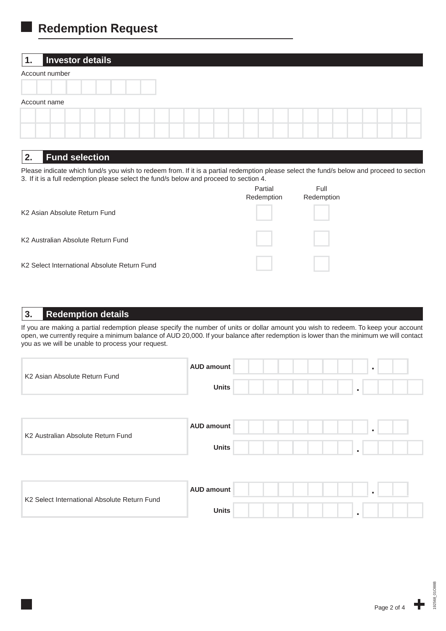## **Redemption Request**

### **1. Investor details**

| Account number |  |  |  |  |  |  |  |
|----------------|--|--|--|--|--|--|--|
|                |  |  |  |  |  |  |  |
| Account name   |  |  |  |  |  |  |  |
|                |  |  |  |  |  |  |  |
|                |  |  |  |  |  |  |  |

### **2. Fund selection**

Please indicate which fund/s you wish to redeem from. If it is a partial redemption please select the fund/s below and proceed to section 3. If it is a full redemption please select the fund/s below and proceed to section 4.

|                                              | Partial<br>Redemption | Full<br>Redemption |
|----------------------------------------------|-----------------------|--------------------|
| K <sub>2</sub> Asian Absolute Return Fund    |                       |                    |
| K2 Australian Absolute Return Fund           |                       |                    |
| K2 Select International Absolute Return Fund |                       |                    |

### **3. Redemption details**

If you are making a partial redemption please specify the number of units or dollar amount you wish to redeem. To keep your account open, we currently require a minimum balance of AUD 20,000. If your balance after redemption is lower than the minimum we will contact you as we will be unable to process your request.

| K2 Asian Absolute Return Fund                | <b>AUD amount</b><br>×<br><b>Units</b><br>$\bullet$                 |  |
|----------------------------------------------|---------------------------------------------------------------------|--|
| K2 Australian Absolute Return Fund           | <b>AUD amount</b><br>$\bullet$<br><b>Units</b><br>$\blacksquare$    |  |
| K2 Select International Absolute Return Fund | <b>AUD amount</b><br>$\mathbf{r}$<br><b>Units</b><br>$\blacksquare$ |  |

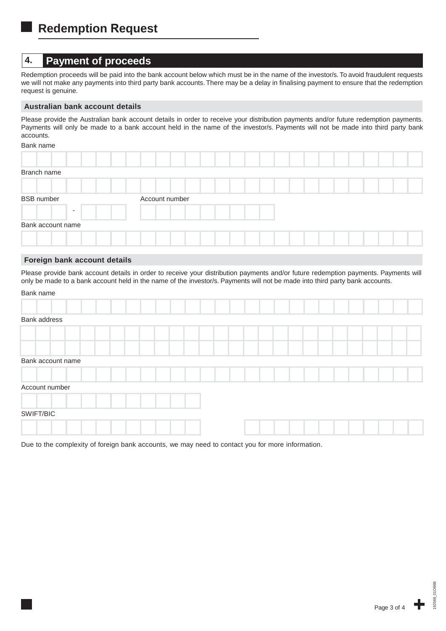## **4. Payment of proceeds**

Redemption proceeds will be paid into the bank account below which must be in the name of the investor/s. To avoid fraudulent requests we will not make any payments into third party bank accounts. There may be a delay in finalising payment to ensure that the redemption request is genuine.

#### **Australian bank account details**

Please provide the Australian bank account details in order to receive your distribution payments and/or future redemption payments. Payments will only be made to a bank account held in the name of the investor/s. Payments will not be made into third party bank accounts.

### Bank name

| Branch name              |                |  |
|--------------------------|----------------|--|
|                          |                |  |
| <b>BSB</b> number        | Account number |  |
| $\overline{\phantom{a}}$ |                |  |
| Bank account name        |                |  |
|                          |                |  |

### **Foreign bank account details**

Please provide bank account details in order to receive your distribution payments and/or future redemption payments. Payments will only be made to a bank account held in the name of the investor/s. Payments will not be made into third party bank accounts.

| Bank name |  |
|-----------|--|
|-----------|--|

| Bank address      |  |  |  |  |  |  |  |  |  |
|-------------------|--|--|--|--|--|--|--|--|--|
|                   |  |  |  |  |  |  |  |  |  |
|                   |  |  |  |  |  |  |  |  |  |
| Bank account name |  |  |  |  |  |  |  |  |  |
|                   |  |  |  |  |  |  |  |  |  |
| Account number    |  |  |  |  |  |  |  |  |  |
|                   |  |  |  |  |  |  |  |  |  |
| SWIFT/BIC         |  |  |  |  |  |  |  |  |  |
|                   |  |  |  |  |  |  |  |  |  |

Due to the complexity of foreign bank accounts, we may need to contact you for more information.